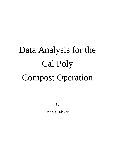## Data Analysis for the Cal Poly Compost Operation

By

Mark C. Klever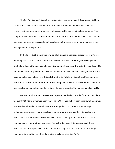The Cal Poly Compost Operation has been in existence for over fifteen years. Cal Poly Compost has been an excellent means to turn animal waste and feed residual from the livestock animals on campus into a marketable, renewable and sustainable commodity. The campus as a whole as well as the community has benefitted from this endeavor. Over time this operation has been very successful but has also seen the occurrence of many changes in the management of the operation.

In the fall of 2008 a major renovation of all standard operating procedures (SOP's) was put into place. The fear of the potential of possible health risk or pathogens existing in the finished product led to the major change. New administrators saw the potential and decided to adopt new best management practices for the operation. The new best management practices were compiled from a team of individuals from the Cal Poly Farm Operations Department as well as direct consultation of the Harris Ranch Company. The new Cal Poly Compost Operation was closely modeled to how the Harris Ranch Company operates the manure handling facility.

Harris Ranch has a very detailed and organized method to record information and data for over 60,000 tons of manure each year. Their BMP's include how each windrow of manure is made and numbered to how each windrow is temped daily to insure proper pathogen reduction. Employees of Harris take four temperatures and average those temps for every windrow for at least fifteen consecutive days. The Cal Poly Operation has room on site to compost about nine windrows at a time. The task of taking daily temperatures of those windrows results in a possibility of thirty-six temps a day. In a short amount of time, large volumes of information is gathered even in a small operation like Poly's.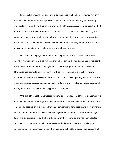I personally have gathered and have tried to analyze the hand entered data. Not only does the daily temperature taking process take time but also does analyzing and recording averages for each windrow. Then after a few months of this process, another different method of taking temperatures was adopted to account for certain data discrepancies. Quickly the number of temperatures doubled due to the second method therefore drastically increasing the amount of data that needed analysis. With two methods of taking temperatures, the need for a computer aided program to help store and analyze data arose.

For my AgEd 539 project I decided to build a program in which data can be entered easily but more importantly large volumes of numbers can be charted or graphed to represent usable information for compost management. I built the program to quickly convert four different temperatures to an average which will be representative of a specific windrow of manure to be composted. Daily temperatures are so critical in composting operations because of the way heat is measured due to microbial activity to allow breakdown or decomposition of the organic material as well as reducing potential pathogens.

One goal of the Cal Poly Composting Operation, as well as that of the Harris Company, is to reduce the amount of pathogens in the manure after it has completed it decomposition into compost. To accomplish this goal, daily average temperatures for a specific windrow of manure must maintain a temperature level above 130 degrees Fahrenheit for at least fifteen straight days. This is a standard set by the Harris Company in their operation and has been adopted into the Cal Poly operation to help insure a safe finished product. In order to make good management decisions in this operation it is imperative to be able to quickly evaluate each of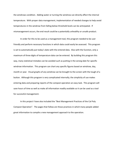the windrows condition. Adding water or turning the windrow can directly affect the internal temperature. With proper data management, implementation of needed changes to help avoid temperatures in the windrow from falling below threshold levels can be anticipated. If mismanagement occurs, the end result could be a potentially unhealthy or unsafe product.

In order for this to be used as a management tool, this program needed to be user friendly and perform necessary functions in which data could easily be assessed. This program is set to automatically put today's date with the entered data. Also with the function, only a maximum of three digits of temperature data can be entered. By building this program this way, many statistical mistakes can be avoided such as putting in the wrong date for specific windrow information. This program can chart any specific figures based on windrow, day, month or year. Visual graphs of any windrow can be brought to the screen with the tough of a button. Although this program is very complicated internally; the simplicity of use makes entering data and preparing reports of the compost operation an easy task. This program will save hours of time as well as make all information readily available so it can be used as a tool for successful management.

In this project I have also included the "Best Management Practices of the Cal Poly Compost Operation". The pages that follow are those practices in which many people added great information to compile a new management approach to the operation.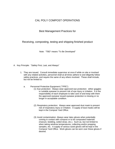## CAL POLY COMPOST OPERATIONS

## Best Management Practices for

Receiving, composting, testing and shipping finished product

Note: "TBD" means "To Be Developed"

- A. Key Principle: "Safety First, Last, and Always"
	- 1. They are issued. Consult immediate supervisor at once if while on site or involved with any related activities, personnel shall at all times adhere to and diligently follow safety practices, and require the same of any others involved. These shall include, but not be limited to:
		- a. Personnel Protective Equipment (""PPE"):
			- (1) Eye protection: Always wear approved eye protection: either goggles or suitable eyewear to prevent risk of eye injury or irritation. It is the responsibility of each employee to take care of and keep with them the approved eyewear issued eyewear protection is missing or no longer in acceptable condition.
			- (2) Respiratory protection: Always wear approved dust mask to prevent risk of respiratory injury or irritation. A supply of dust masks will be kept in the Compost Yard Office.
			- (3) Avoid contamination: Always wear latex gloves when potentially coming in contact with compost or to be composted materials (manure, bedding, soiled straw, etc.). Such as, but not limited to when taking windrow temperatures, collecting and/or prepping samples, etc. A supply of various sized gloves will be kept in the Compost Yard Office. Work gloves can be worn over these gloves if desired.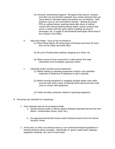- (4) Personal / professional hygiene: Recognize that manure, compost and other raw and finished materials may contain elements that can cause illness if standard safety precautions are not followed. Safe practices such as, but not limited to include: Utilizing the proper PPE as outlined above; washing hands after direct or indirect contact with manure-based products and/or various surfaces that come in contact with the same; before handling any food or beverages, etc. A supply of anti-bacterial hand-wipes will be kept in the Compost Yard Office.
- b. Safe work habits: Such as but not limited to:
	- (1) When lifting objects, lift using proper techniques and never lift more than can be safely and easily lifted.
	- (2) Be sure of footing when walking, stepping up or down, etc.
	- (3) When unsure of how to proceed in a safe manner first seek clarification from immediate supervisor before
- c. Operating and/or working around equipment:
	- (1) Before starting or operating equipment conduct a pre-operation inspection to determine if equipment is safe to operate.
	- (2) Before moving equipment or engaging auxiliary power units make sure the work area is clear of physical and/or personnel that could come in contact with equipment.
	- (3) Follow all safety measures related to operating equipment.
- B. Receiving raw materials for composting
	- 1. Only materials that can be accepted include:
		- a. Animal manures (with or without organic bedding materials) that are free from debris / contamination (twine, trash, etc.).
		- b. Pre-approved animal feed stocks and/or finished products from the Animal Nutrition Center.
	- 2. At this time, no other non-animal manure or non-animal feed-based ingredients or finished products will be accepted. Specifically no "green" waste (lawn clippings, vegetation materials, etc.) and no food waste.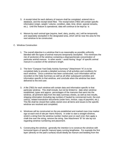- 3. A receipt ticket for each delivery of manure shall be completed, entered into a database, and the receipt ticket filed. The receipt ticket (TBD) will contain specific information (origin, weight / volume, condition, date, time, driver, special remarks, etc.). Until this feature is operational, data will continue to be kept by is
- 4. Manure by each animal type (equine, beef, dairy, poultry, etc.) will be temporarily and separately stockpiled in the designated area, which will be near the area for the next windrow to be constructed.
- C. Windrow Construction
	- 1. The overall objective is a windrow that is as reasonably as possible uniformly blended with the types of animal manures temporarily stockpiled. This minimizes the risk of section(s) of the windrow containing a disproportionate concentration of particular animal manure. In other words – avoid having "slugs" of specific animal manure in a section of the windrow's length.
	- 2. The form "Compost Yard Daily Activity Summary" (Attachment "A") is to be completed daily to provide a detailed summary of all activities and conditions for each windrow. Once a windrow has been constructed, such information will be recorded on the Daily Summary as well as all other subsequent activities and information specific to that windrow, and conclude when the windrow has been delivered to the end-user.
	- 3. A file (TBD) for each windrow will contain data and information specific to that particular windrow. This shall include, but not be limited to: date when windrow established, types and approx. percentages of the manures that went into the windrow, all pertinent data from the daily summary sheets, as well as test results, shipping information (including tag numbers if hauled by commercial truck), the enduser(s), related transaction documents (order form, invoice, copy of payment, etc.). This file shall be closed then safely stored once all items and issues to the specific windrow are resolved and completed.
	- 4. Windrows will be constructed on the pre-established and marked rows (row marker sign at each end of site per Harris Ranch). In order to start a straight windrow, stretch a string from the windrow number marker post on each end, then apply a chalk line over the string, remove the string. See Attachment "B" for site lay-out regarding windrow numbering and placement.
	- 5. Constructing the windrow: generally the intention is to construct the windrow with horizontal layers of specific manure types running lengthwise. For example the first layer (directly on the pad's surface) would ideally be manure and bedding from the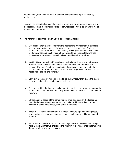equine center, then the next layer is another animal manure type, followed by another, etc.

However, an acceptable optional method is to pre-mix the various manures and in the process, create a comingled stockpile of what ideally would be a uniform mixture of the various manures.

- 6. The windrow is constructed with a front-end loader as follows:
	- a. Get a reasonably sized scoop from the appropriate animal manure stockpile keep in mind multiple scoops (at least one for each manure type) will be dumped in same windrow position. Getting too large of a scoop could cause too large (width and height-wise) of a windrow to be constructed, whereas under-sized scoops could result in a less than ideal-sized windrow.
	- b. NOTE: Using the optional "pre-mixing" method described above, all scoops from the mixed stockpile should be a homogenous blend therefore the horizontal "layering" method described in this section is not relative to the optional method; however, caution must be used regardless of method so as not to make too big of a windrow.
	- c. Start first at the approved end of the to-be-built windrow then place the loader bucket's cutting edge parallel to the chalk line.
	- d. Properly position the loader's bucket over the chalk line so when the manure is dumped it falls centered as much as possible over the chalk line / center-line of windrow.
	- e. Obtain another scoop of the same manure type, and position the loader as described above, except move over one bucket width in the direction the windrow is being constructed, then dump the manure.
	- f. When the  $1<sup>st</sup>$  horizontal "course" of a specific manure type has been placed, repeat with the subsequent courses – ideally each course a different type of manure.
	- g. Be careful not to construct a windrow too high which also results in it being too wide at the base that will challenge the windrow turner's ability to uniformly mix the entire windrow's cross section.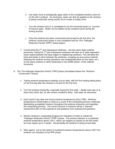- h. Use water truck to strategically apply water to the completed windrow (and not on the site's surface). As necessary, water can also be applied as the windrow is being constructed, being careful not to create a muddy mess.
- i. Turn the windrow once it is completed to mix the horizontal layers or "courses" of manure types. Water can be added via the compost turner during the turning process.
- j. Once the windrow has been constructed and turned for the first time, the windrow construction phase is now completed and the "Pre- Pathogen Reduction Period" (PRP)" phase begins.
- 7. Constructing the  $2^{nd}$  and subsequent windrows. Use the same steps outlined previously, noting the 2<sup>nd</sup> and subsequent windrows will have an 8' wide separation (clear space) between the base edges of neighboring windrows. This will allow the front-end loader to drive between the windrows, scooping up any excess material following the windrow turning operations and strategically place (in low spots, etc.) on the same windrow or other windrow(s) in the SAME phase of the material recovered.
- D. The "Pre-Pathogen Reduction Period" (PRP) phase (immediate follows the "Windrow Construction" phase):
	- 1. Taking windrow temperature readings occurs daily, with the first reading taking place on the first day after the windrow is turned for the first time.
	- 2. Turn the windrow frequently, especially during the first week ideally each day or at least every other day; as site surface conditions allow. Add water as necessary.
	- 3. Each (work?) day take and record windrow temperatures (form TBD). Windrow temperatures should begin to climb as a result of the composting process underway. Maintaining acceptable moisture throughout the windrow enhances and expedites the composting process. The correct amount of moisture will be a "learned" assessment with on-site experience and guidance from experienced operators.
	- 4. Monitor windrow's composting progress for indicators of when to initiate the "Pathogen Reduction Period" ("PRP") phase. The primary indicator is a sustained windrow temperature above 130 F, which can happen as quickly as the first week, but may require up to 2 weeks. Recall ideally the windrow is being turned daily.
	- 5. After approx. one to two weeks of sustained windrow temperatures above 130 F the windrow can transition to the PRP phase.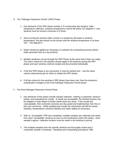- E. The "Pathogen Reduction Period" (PRP) Phase
	- 1. Key elements of the PRP phase include a 15 consecutive day duration, daily temperature collection, windrow temperatures cannot fall below 131 degrees F, and windrow must be turned a minimum of 5 times.
	- 2. Since turning the windrow often results in a temporary decrease in windrow temperature, the pile should not be turned until the windrow temperature is at least 140 – 145 degrees F.
	- 3. Water should be applied as necessary to maintain the composting process (which helps generate heat as a by-product).
	- 4. Multiple windrows can go through the PRP Phase at the same time if they are ready. The same criteria for one windrow should apply to all windrows during the PRP phase and each windrow shall be treated and documented individually.
	- 5. If the first PRP phase is not successful, it must be started over. Use the same criteria noted previously for when to initiate the PRP phase.
	- 6. If all the criteria for the windrow's PRP phase have been met, then the windrow's classification changes to the Post-Pathogen Reduction Period phase.
- F. The Post-Pathogen Reduction Period Phase
	- 1. Key elements of this phase include sample collection, making a composite, having it tested, and evaluating the results. If results are acceptable, the finished product can be shipped or kept longer to further break down any straw. If the results are unacceptable, then corrective action(s) are discussed and implemented, then the retest can commence. While awaiting test results the windrow(s) will still be turned (weekly), temperatures checked (weekly) and water added as necessary.
	- 2. With an "Acceptable" PRP test completed, multiple samples are collected and noted from each "acceptable" windrow as soon as the windrow(s) enters this phase. Each sample's approx. collection location must be noted in the windrow's journal.
	- 3. The multiple samples from the specific windrow are thoroughly mixed and a composite sample is extracted. Sampling and compositing procedures TBD.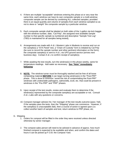- 4. If there are multiple "acceptable" windrows entering this phase at or very near the same time, each windrow can have its own composite sample or a multi-windrow composite sample can be derived by combining ALL collected samples; provided there is an equal quantity and volume of samples from each windrow sampled so as not to skew or "weight" the composite sample by a particular windrow.
- 5. Each composite sample shall be labeled on both sides of the 1-gallon zip-lock baggie with the windrow number, date, "Cal Poly", the assigned next available sample number to that specific sample (a numbered and descriptive "Sample Test Log" (TBD) is maintained for all samples being tested),
- 6. Arrangements are made with A & L Western Labs in Modesto to receive and run on the sample(s) a "STA Panel" test, a "Chain of Custody" form is initiated by Cal Poly (be sure to record the sample number and other pertinent information on the form), the composite sample(s) is sent to A & L via UPS ground service (arrives next business day). Contact A & L to confirm receipt of sample(s).
- 7. While awaiting the test results, turn the windrow(s) in this phase weekly, same for temperature readings. Add water as necessary. **See "Note" immediately following**:
- 8. **NOTE:** The windrow turner must be thoroughly washed and be free of all loose composting material **BEFORE** it can begin turning windrow(s) in the "Post-PRP" phase. This is done to minimize / avoid the risk of contaminating the Post-PRP" windrows with undesirable pathogens, salmonella, ecoli, etc. that could be present in windrows in the "Pre-PRP" and "PRP" phases.
- 9. Upon receipt of the test results, review and evaluate them to determine if the windrow(s) represented by the composite sample(s) are acceptable or not. Consult A & L Labs with any questions or concerns.
- 10. Compost manager advises his / her manager of the test results outcome (pass / fail). If the samples pass the tests, then the "Shipping" phase can commence. However, if the sample(s) is unacceptable (fail), then a course of action is agreed upon (i.e. collect another batch of samples and test, return windrow to PRP phase, etc.

## G. Shipping

- 1. Orders for compost will be filled in the order they were received unless directed otherwise by senior manager.
- 2. The compost sales person will need to be advised in advance of approx. how much finished compost is expected to be available and when, and confirm the dates and hours it can be picked up F.O.B. the Compost Yard.